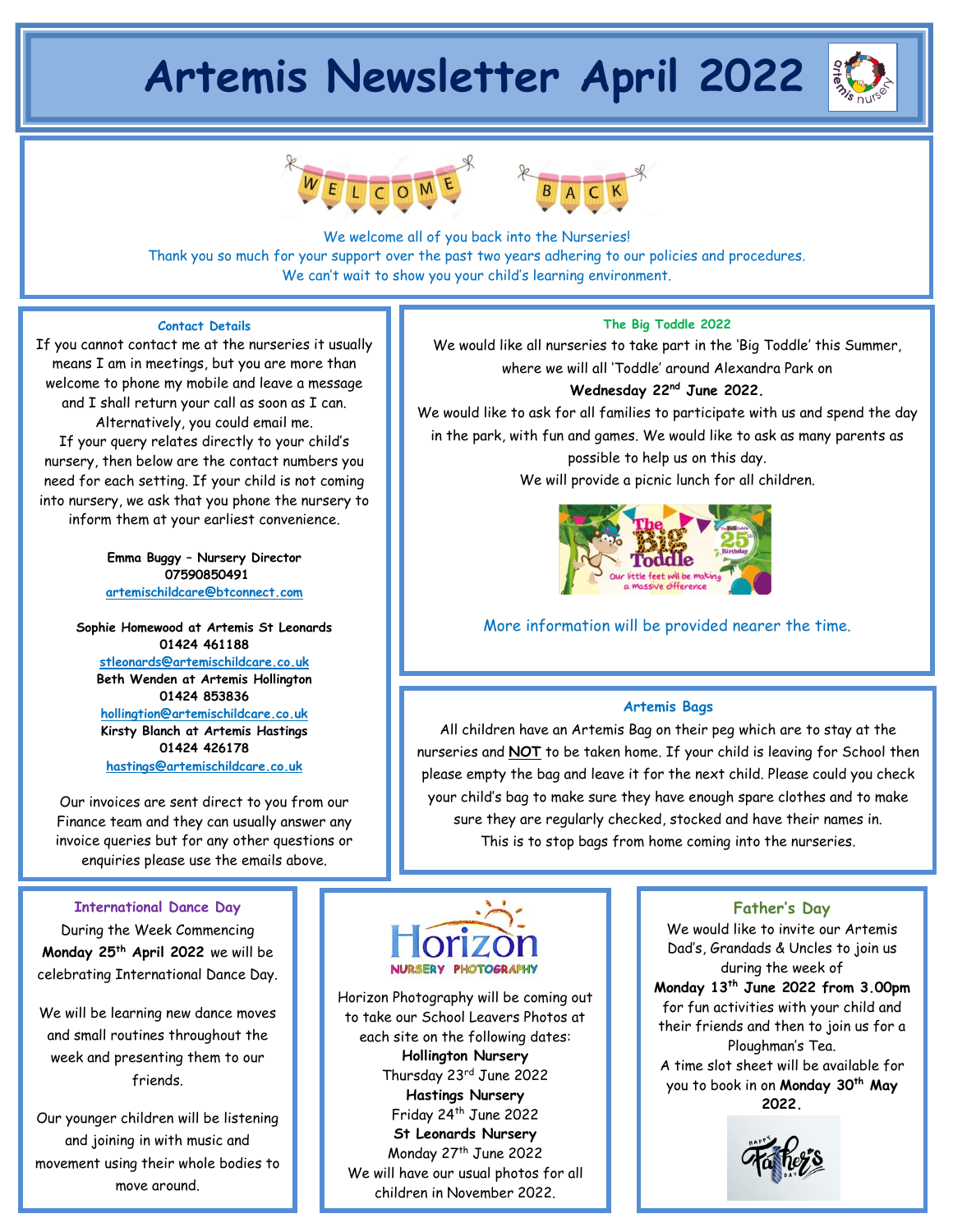# **Artemis Newsletter April 2022**







We welcome all of you back into the Nurseries! Thank you so much for your support over the past two years adhering to our policies and procedures. We can't wait to show you your child's learning environment.

## **Contact Details**

If you cannot contact me at the nurseries it usually means I am in meetings, but you are more than welcome to phone my mobile and leave a message and I shall return your call as soon as I can. Alternatively, you could email me. If your query relates directly to your child's

nursery, then below are the contact numbers you need for each setting. If your child is not coming into nursery, we ask that you phone the nursery to inform them at your earliest convenience.

> **Emma Buggy – Nursery Director 07590850491 [artemischildcare@btconnect.com](mailto:artemischildcare@btconnect.com)**

**Sophie Homewood at Artemis St Leonards 01424 461188 [stleonards@artemischildcare.co.uk](mailto:stleonards@artemischildcare.co.uk) Beth Wenden at Artemis Hollington 01424 853836 [hollingtion@artemischildcare.co.uk](mailto:hollingtion@artemischildcare.co.uk) Kirsty Blanch at Artemis Hastings 01424 426178 [hastings@artemischildcare.co.uk](mailto:hastings@artemischildcare.co.uk)**

Our invoices are sent direct to you from our Finance team and they can usually answer any invoice queries but for any other questions or enquiries please use the emails above.

#### **International Dance Day**

During the Week Commencing **Monday 25th April 2022** we will be celebrating International Dance Day.

We will be learning new dance moves and small routines throughout the week and presenting them to our friends.

Our younger children will be listening and joining in with music and movement using their whole bodies to move around.

# **The Big Toddle 2022**

We would like all nurseries to take part in the 'Big Toddle' this Summer, where we will all 'Toddle' around Alexandra Park on

# **Wednesday 22nd June 2022.**

We would like to ask for all families to participate with us and spend the day in the park, with fun and games. We would like to ask as many parents as possible to help us on this day. We will provide a picnic lunch for all children.

More information will be provided nearer the time.

#### **Artemis Bags**

All children have an Artemis Bag on their peg which are to stay at the nurseries and **NOT** to be taken home. If your child is leaving for School then please empty the bag and leave it for the next child. Please could you check your child's bag to make sure they have enough spare clothes and to make sure they are regularly checked, stocked and have their names in. This is to stop bags from home coming into the nurseries.



Horizon Photography will be coming out to take our School Leavers Photos at each site on the following dates: **Hollington Nursery** Thursday 23rd June 2022 **Hastings Nursery** Friday 24th June 2022 **St Leonards Nursery**  Monday 27<sup>th</sup> June 2022 We will have our usual photos for all children in November 2022.

# **Father's Day**

We would like to invite our Artemis Dad's, Grandads & Uncles to join us during the week of **Monday 13th June 2022 from 3.00pm** for fun activities with your child and their friends and then to join us for a Ploughman's Tea. A time slot sheet will be available for you to book in on **Monday 30 th May 2022.**

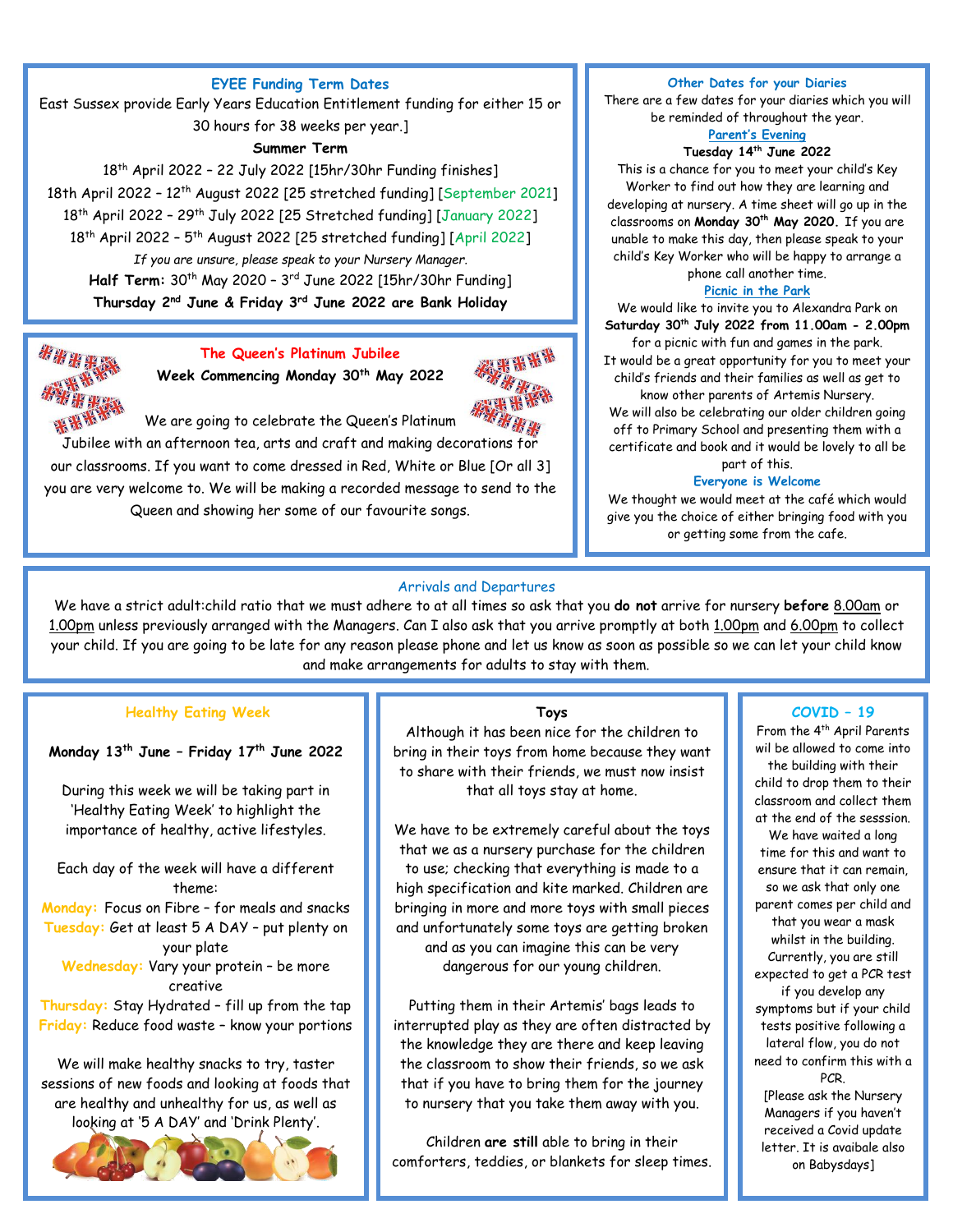## **EYEE Funding Term Dates**

East Sussex provide Early Years Education Entitlement funding for either 15 or 30 hours for 38 weeks per year.]

# **Summer Term**

18 th April 2022 – 22 July 2022 [15hr/30hr Funding finishes] 18th April 2022 – 12th August 2022 [25 stretched funding] [September 2021] 18<sup>th</sup> April 2022 – 29<sup>th</sup> July 2022 [25 Stretched funding] [January 2022] 18<sup>th</sup> April 2022 - 5<sup>th</sup> August 2022 [25 stretched funding] [April 2022] *If you are unsure, please speak to your Nursery Manager.* **Half Term:** 30<sup>th</sup> May 2020 - 3<sup>rd</sup> June 2022 [15hr/30hr Funding] **Thursday 2 nd June & Friday 3rd June 2022 are Bank Holiday**



**The Queen's Platinum Jubilee Week Commencing Monday 30th May 2022**



We are going to celebrate the Queen's Platinum Jubilee with an afternoon tea, arts and craft and making decorations for our classrooms. If you want to come dressed in Red, White or Blue [Or all 3] you are very welcome to. We will be making a recorded message to send to the Queen and showing her some of our favourite songs.

#### **Other Dates for your Diaries**

There are a few dates for your diaries which you will be reminded of throughout the year.

#### **Parent's Evening Tuesday 14th June 2022**

This is a chance for you to meet your child's Key Worker to find out how they are learning and developing at nursery. A time sheet will go up in the classrooms on **Monday 30th May 2020.** If you are unable to make this day, then please speak to your child's Key Worker who will be happy to arrange a phone call another time.

#### **Picnic in the Park**

We would like to invite you to Alexandra Park on **Saturday 30th July 2022 from 11.00am - 2.00pm** 

for a picnic with fun and games in the park. It would be a great opportunity for you to meet your child's friends and their families as well as get to

know other parents of Artemis Nursery. We will also be celebrating our older children going off to Primary School and presenting them with a certificate and book and it would be lovely to all be part of this.

#### **Everyone is Welcome**

We thought we would meet at the café which would give you the choice of either bringing food with you or getting some from the cafe.

#### Arrivals and Departures

We have a strict adult:child ratio that we must adhere to at all times so ask that you **do not** arrive for nursery **before** 8.00am or 1.00pm unless previously arranged with the Managers. Can I also ask that you arrive promptly at both 1.00pm and 6.00pm to collect your child. If you are going to be late for any reason please phone and let us know as soon as possible so we can let your child know and make arrangements for adults to stay with them.

**There is a charge for late collection from 6.00pm.**

# **Healthy Eating Week**

#### **Monday 13th June – Friday 17th June 2022**

During this week we will be taking part in 'Healthy Eating Week' to highlight the importance of healthy, active lifestyles.

Each day of the week will have a different theme: **Monday:** Focus on Fibre – for meals and snacks **Tuesday:** Get at least 5 A DAY – put plenty on your plate **Wednesday:** Vary your protein – be more creative

**Thursday:** Stay Hydrated – fill up from the tap **Friday:** Reduce food waste – know your portions

We will make healthy snacks to try, taster sessions of new foods and looking at foods that are healthy and unhealthy for us, as well as looking at '5 A DAY' and 'Drink Plenty'.



#### **Toys**

Although it has been nice for the children to bring in their toys from home because they want to share with their friends, we must now insist that all toys stay at home.

We have to be extremely careful about the toys that we as a nursery purchase for the children to use; checking that everything is made to a high specification and kite marked. Children are bringing in more and more toys with small pieces and unfortunately some toys are getting broken and as you can imagine this can be very dangerous for our young children.

Putting them in their Artemis' bags leads to interrupted play as they are often distracted by the knowledge they are there and keep leaving the classroom to show their friends, so we ask that if you have to bring them for the journey to nursery that you take them away with you.

Children **are still** able to bring in their comforters, teddies, or blankets for sleep times.

#### **COVID – 19**

From the 4<sup>th</sup> April Parents wil be allowed to come into the building with their child to drop them to their classroom and collect them at the end of the sesssion. We have waited a long time for this and want to ensure that it can remain, so we ask that only one parent comes per child and that you wear a mask whilst in the building. Currently, you are still expected to get a PCR test if you develop any symptoms but if your child tests positive following a lateral flow, you do not need to confirm this with a PCR.

[Please ask the Nursery Managers if you haven't received a Covid update letter. It is avaibale also on Babysdays]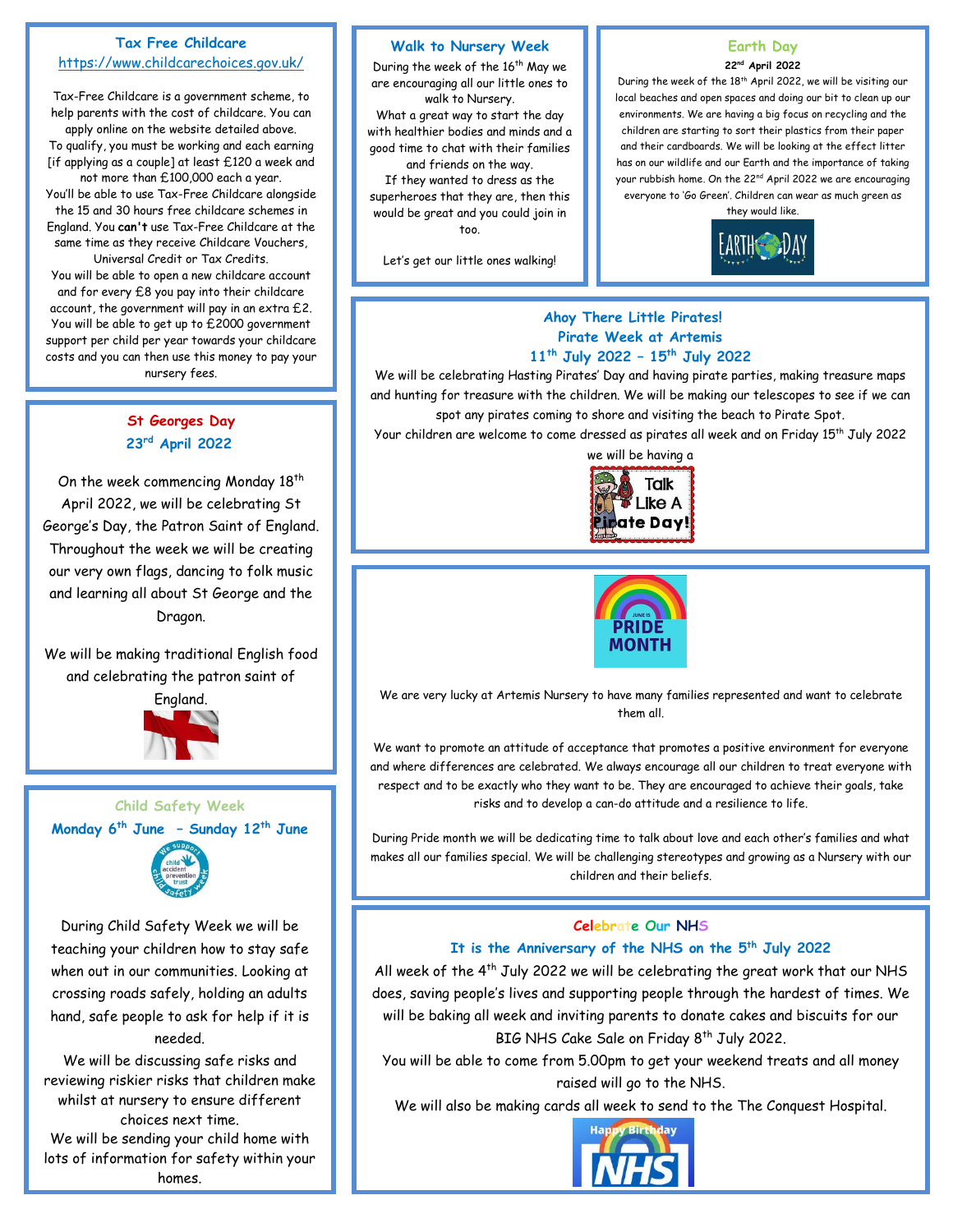# **Tax Free Childcare**  <https://www.childcarechoices.gov.uk/>

Tax-Free Childcare is a government scheme, to help parents with the cost of childcare. You can apply online on the website detailed above. To qualify, you must be working and each earning [if applying as a couple] at least £120 a week and not more than £100,000 each a year. You'll be able to use Tax-Free Childcare alongside the 15 and 30 hours free childcare schemes in England. You **can't** use Tax-Free Childcare at the same time as they receive Childcare Vouchers, Universal Credit or Tax Credits. You will be able to open a new childcare account and for every £8 you pay into their childcare account, the government will pay in an extra £2. You will be able to get up to £2000 government support per child per year towards your childcare costs and you can then use this money to pay your nursery fees.

# **St Georges Day 23rd April 2022**

On the week commencing Monday 18<sup>th</sup> April 2022, we will be celebrating St George's Day, the Patron Saint of England. Throughout the week we will be creating our very own flags, dancing to folk music and learning all about St George and the Dragon.

We will be making traditional English food and celebrating the patron saint of



# **Child Safety Week Monday 6th June – Sunday 12th June**



During Child Safety Week we will be teaching your children how to stay safe when out in our communities. Looking at crossing roads safely, holding an adults hand, safe people to ask for help if it is needed.

We will be discussing safe risks and reviewing riskier risks that children make whilst at nursery to ensure different choices next time. We will be sending your child home with lots of information for safety within your homes.

#### **Walk to Nursery Week**

During the week of the 16<sup>th</sup> May we are encouraging all our little ones to walk to Nursery. What a great way to start the day with healthier bodies and minds and a good time to chat with their families and friends on the way. If they wanted to dress as the superheroes that they are, then this would be great and you could join in too.

Let's get our little ones walking!

### **Earth Day 22nd April 2022**

During the week of the 18<sup>th</sup> April 2022, we will be visiting our local beaches and open spaces and doing our bit to clean up our environments. We are having a big focus on recycling and the children are starting to sort their plastics from their paper and their cardboards. We will be looking at the effect litter has on our wildlife and our Earth and the importance of taking your rubbish home. On the 22<sup>nd</sup> April 2022 we are encouraging everyone to 'Go Green'. Children can wear as much green as they would like.



# **Ahoy There Little Pirates! Pirate Week at Artemis 11 th July 2022 – 15 th July 2022**

We will be celebrating Hasting Pirates' Day and having pirate parties, making treasure maps and hunting for treasure with the children. We will be making our telescopes to see if we can spot any pirates coming to shore and visiting the beach to Pirate Spot.

Your children are welcome to come dressed as pirates all week and on Friday 15 th July 2022





We are very lucky at Artemis Nursery to have many families represented and want to celebrate them all.

We want to promote an attitude of acceptance that promotes a positive environment for everyone and where differences are celebrated. We always encourage all our children to treat everyone with respect and to be exactly who they want to be. They are encouraged to achieve their goals, take risks and to develop a can-do attitude and a resilience to life.

During Pride month we will be dedicating time to talk about love and each other's families and what makes all our families special. We will be challenging stereotypes and growing as a Nursery with our children and their beliefs.

# **Celebrate Our NHS**

# **It is the Anniversary of the NHS on the 5 th July 2022**

All week of the  $4<sup>th</sup>$  July 2022 we will be celebrating the great work that our NHS does, saving people's lives and supporting people through the hardest of times. We will be baking all week and inviting parents to donate cakes and biscuits for our BIG NHS Cake Sale on Friday 8<sup>th</sup> July 2022.

You will be able to come from 5.00pm to get your weekend treats and all money raised will go to the NHS.

We will also be making cards all week to send to the The Conquest Hospital.